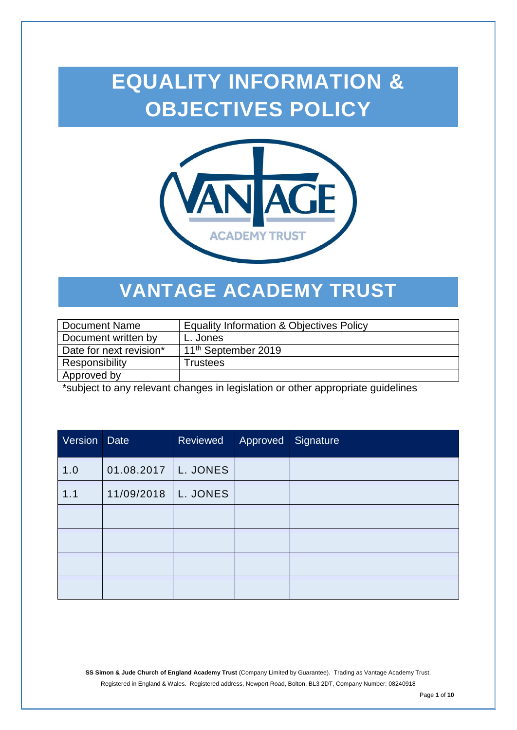# **EQUALITY INFORMATION & OBJECTIVES POLICY**



## **VANTAGE ACADEMY TRUST**

| Document Name           | <b>Equality Information &amp; Objectives Policy</b> |
|-------------------------|-----------------------------------------------------|
| Document written by     | L. Jones                                            |
| Date for next revision* | 11 <sup>th</sup> September 2019                     |
| Responsibility          | Trustees                                            |
| Approved by             |                                                     |

\*subject to any relevant changes in legislation or other appropriate guidelines

| Version | <b>Date</b> | Reviewed | Approved Signature |  |
|---------|-------------|----------|--------------------|--|
| 1.0     | 01.08.2017  | L. JONES |                    |  |
| 1.1     | 11/09/2018  | L. JONES |                    |  |
|         |             |          |                    |  |
|         |             |          |                    |  |
|         |             |          |                    |  |
|         |             |          |                    |  |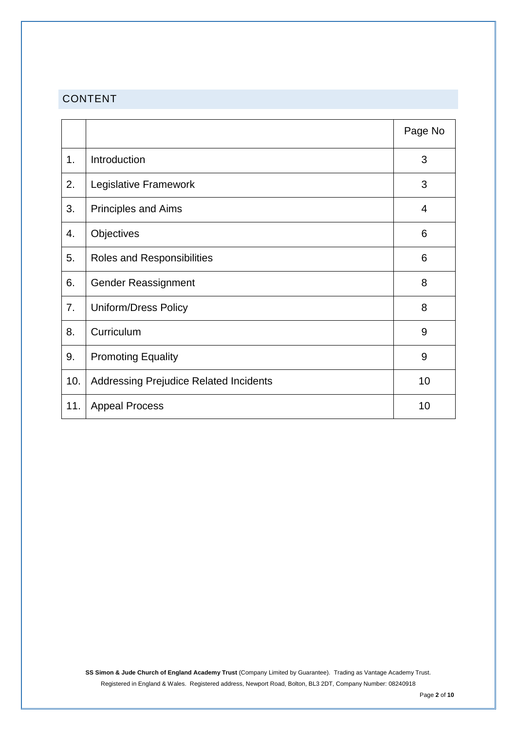### CONTENT

|     |                                               | Page No |
|-----|-----------------------------------------------|---------|
| 1.  | Introduction                                  | 3       |
| 2.  | Legislative Framework                         | 3       |
| 3.  | <b>Principles and Aims</b>                    | 4       |
| 4.  | Objectives                                    | 6       |
| 5.  | Roles and Responsibilities                    | 6       |
| 6.  | <b>Gender Reassignment</b>                    | 8       |
| 7.  | <b>Uniform/Dress Policy</b>                   | 8       |
| 8.  | Curriculum                                    | 9       |
| 9.  | <b>Promoting Equality</b>                     | 9       |
| 10. | <b>Addressing Prejudice Related Incidents</b> | 10      |
| 11. | <b>Appeal Process</b>                         | 10      |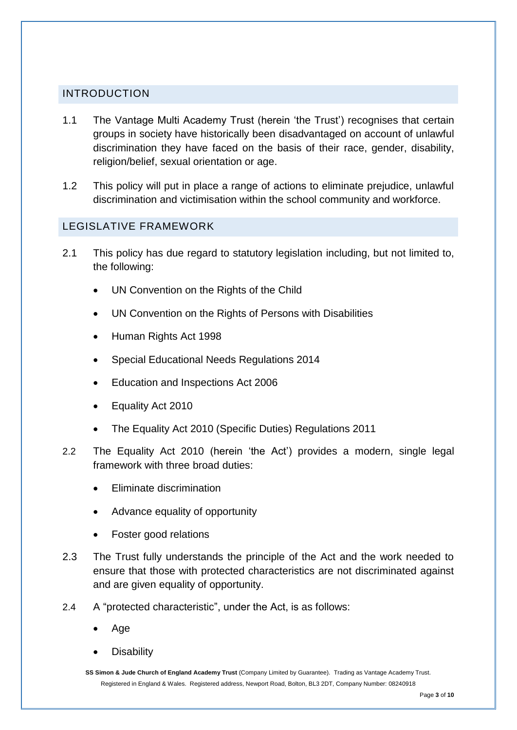#### INTRODUCTION

- 1.1 The Vantage Multi Academy Trust (herein 'the Trust') recognises that certain groups in society have historically been disadvantaged on account of unlawful discrimination they have faced on the basis of their race, gender, disability, religion/belief, sexual orientation or age.
- 1.2 This policy will put in place a range of actions to eliminate prejudice, unlawful discrimination and victimisation within the school community and workforce.

#### LEGISLATIVE FRAMEWORK

- 2.1 This policy has due regard to statutory legislation including, but not limited to, the following:
	- UN Convention on the Rights of the Child
	- UN Convention on the Rights of Persons with Disabilities
	- Human Rights Act 1998
	- Special Educational Needs Regulations 2014
	- Education and Inspections Act 2006
	- Equality Act 2010
	- The Equality Act 2010 (Specific Duties) Regulations 2011
- 2.2 The Equality Act 2010 (herein 'the Act') provides a modern, single legal framework with three broad duties:
	- Eliminate discrimination
	- Advance equality of opportunity
	- Foster good relations
- 2.3 The Trust fully understands the principle of the Act and the work needed to ensure that those with protected characteristics are not discriminated against and are given equality of opportunity.
- 2.4 A "protected characteristic", under the Act, is as follows:
	- Age
	- **Disability**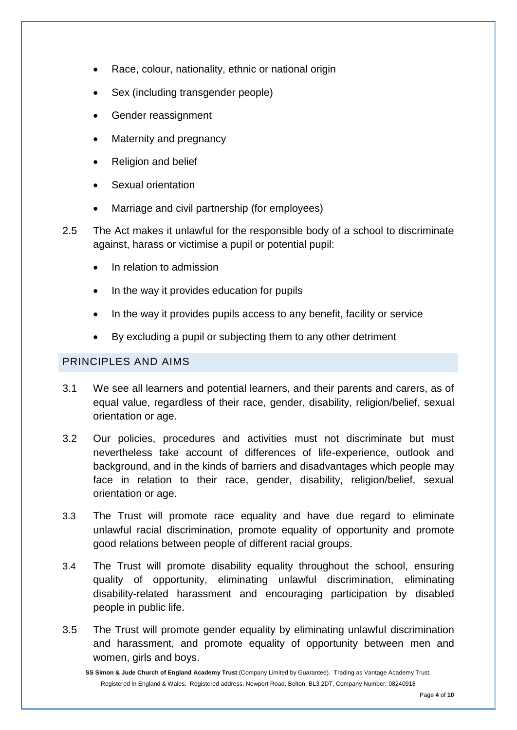- Race, colour, nationality, ethnic or national origin
- Sex (including transgender people)
- Gender reassignment
- Maternity and pregnancy
- Religion and belief
- Sexual orientation
- Marriage and civil partnership (for employees)
- 2.5 The Act makes it unlawful for the responsible body of a school to discriminate against, harass or victimise a pupil or potential pupil:
	- In relation to admission
	- In the way it provides education for pupils
	- In the way it provides pupils access to any benefit, facility or service
	- By excluding a pupil or subjecting them to any other detriment

#### PRINCIPLES AND AIMS

- 3.1 We see all learners and potential learners, and their parents and carers, as of equal value, regardless of their race, gender, disability, religion/belief, sexual orientation or age.
- 3.2 Our policies, procedures and activities must not discriminate but must nevertheless take account of differences of life-experience, outlook and background, and in the kinds of barriers and disadvantages which people may face in relation to their race, gender, disability, religion/belief, sexual orientation or age.
- 3.3 The Trust will promote race equality and have due regard to eliminate unlawful racial discrimination, promote equality of opportunity and promote good relations between people of different racial groups.
- 3.4 The Trust will promote disability equality throughout the school, ensuring quality of opportunity, eliminating unlawful discrimination, eliminating disability-related harassment and encouraging participation by disabled people in public life.
- 3.5 The Trust will promote gender equality by eliminating unlawful discrimination and harassment, and promote equality of opportunity between men and women, girls and boys.

**SS Simon & Jude Church of England Academy Trust** (Company Limited by Guarantee). Trading as Vantage Academy Trust. Registered in England & Wales. Registered address, Newport Road, Bolton, BL3 2DT, Company Number: 08240918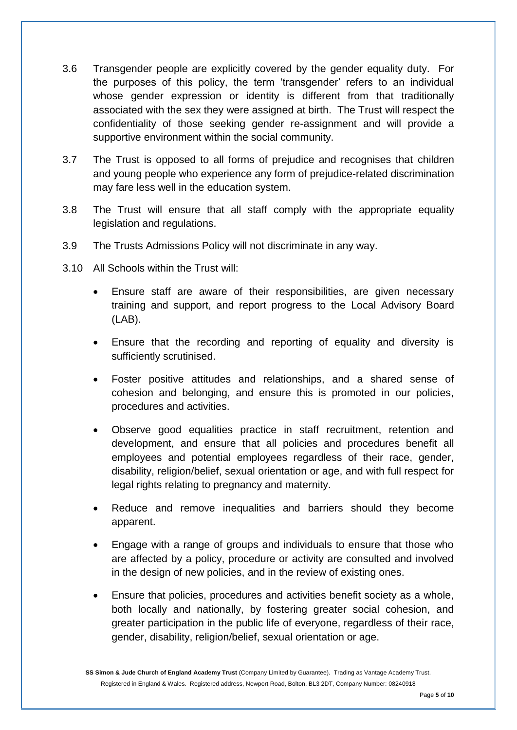- 3.6 Transgender people are explicitly covered by the gender equality duty. For the purposes of this policy, the term 'transgender' refers to an individual whose gender expression or identity is different from that traditionally associated with the sex they were assigned at birth. The Trust will respect the confidentiality of those seeking gender re-assignment and will provide a supportive environment within the social community.
- 3.7 The Trust is opposed to all forms of prejudice and recognises that children and young people who experience any form of prejudice-related discrimination may fare less well in the education system.
- 3.8 The Trust will ensure that all staff comply with the appropriate equality legislation and regulations.
- 3.9 The Trusts Admissions Policy will not discriminate in any way.
- 3.10 All Schools within the Trust will:
	- Ensure staff are aware of their responsibilities, are given necessary training and support, and report progress to the Local Advisory Board (LAB).
	- Ensure that the recording and reporting of equality and diversity is sufficiently scrutinised.
	- Foster positive attitudes and relationships, and a shared sense of cohesion and belonging, and ensure this is promoted in our policies, procedures and activities.
	- Observe good equalities practice in staff recruitment, retention and development, and ensure that all policies and procedures benefit all employees and potential employees regardless of their race, gender, disability, religion/belief, sexual orientation or age, and with full respect for legal rights relating to pregnancy and maternity.
	- Reduce and remove inequalities and barriers should they become apparent.
	- Engage with a range of groups and individuals to ensure that those who are affected by a policy, procedure or activity are consulted and involved in the design of new policies, and in the review of existing ones.
	- Ensure that policies, procedures and activities benefit society as a whole, both locally and nationally, by fostering greater social cohesion, and greater participation in the public life of everyone, regardless of their race, gender, disability, religion/belief, sexual orientation or age.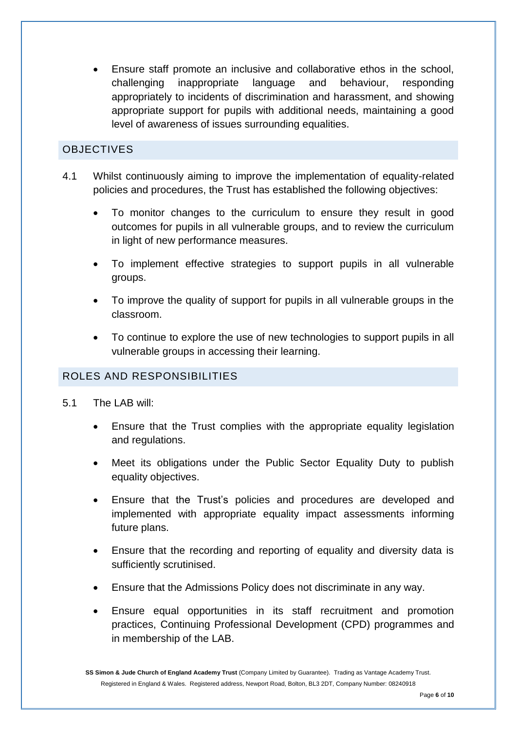Ensure staff promote an inclusive and collaborative ethos in the school, challenging inappropriate language and behaviour, responding appropriately to incidents of discrimination and harassment, and showing appropriate support for pupils with additional needs, maintaining a good level of awareness of issues surrounding equalities.

#### **OBJECTIVES**

- 4.1 Whilst continuously aiming to improve the implementation of equality-related policies and procedures, the Trust has established the following objectives:
	- To monitor changes to the curriculum to ensure they result in good outcomes for pupils in all vulnerable groups, and to review the curriculum in light of new performance measures.
	- To implement effective strategies to support pupils in all vulnerable groups.
	- To improve the quality of support for pupils in all vulnerable groups in the classroom.
	- To continue to explore the use of new technologies to support pupils in all vulnerable groups in accessing their learning.

#### ROLES AND RESPONSIBILITIES

- 5.1 The LAB will:
	- Ensure that the Trust complies with the appropriate equality legislation and regulations.
	- Meet its obligations under the Public Sector Equality Duty to publish equality objectives.
	- Ensure that the Trust's policies and procedures are developed and implemented with appropriate equality impact assessments informing future plans.
	- Ensure that the recording and reporting of equality and diversity data is sufficiently scrutinised.
	- Ensure that the Admissions Policy does not discriminate in any way.
	- Ensure equal opportunities in its staff recruitment and promotion practices, Continuing Professional Development (CPD) programmes and in membership of the LAB.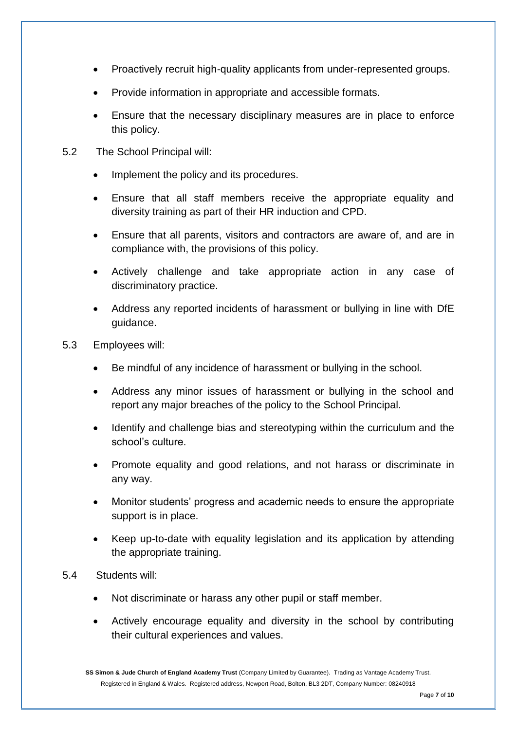- Proactively recruit high-quality applicants from under-represented groups.
- Provide information in appropriate and accessible formats.
- Ensure that the necessary disciplinary measures are in place to enforce this policy.
- 5.2 The School Principal will:
	- Implement the policy and its procedures.
	- Ensure that all staff members receive the appropriate equality and diversity training as part of their HR induction and CPD.
	- Ensure that all parents, visitors and contractors are aware of, and are in compliance with, the provisions of this policy.
	- Actively challenge and take appropriate action in any case of discriminatory practice.
	- Address any reported incidents of harassment or bullying in line with DfE guidance.
- 5.3 Employees will:
	- Be mindful of any incidence of harassment or bullying in the school.
	- Address any minor issues of harassment or bullying in the school and report any major breaches of the policy to the School Principal.
	- Identify and challenge bias and stereotyping within the curriculum and the school's culture.
	- Promote equality and good relations, and not harass or discriminate in any way.
	- Monitor students' progress and academic needs to ensure the appropriate support is in place.
	- Keep up-to-date with equality legislation and its application by attending the appropriate training.
- 5.4 Students will:
	- Not discriminate or harass any other pupil or staff member.
	- Actively encourage equality and diversity in the school by contributing their cultural experiences and values.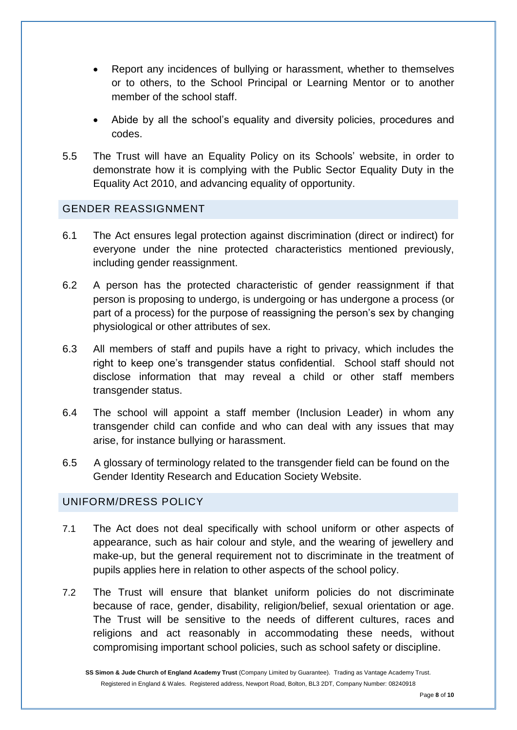- Report any incidences of bullying or harassment, whether to themselves or to others, to the School Principal or Learning Mentor or to another member of the school staff.
- Abide by all the school's equality and diversity policies, procedures and codes.
- 5.5 The Trust will have an Equality Policy on its Schools' website, in order to demonstrate how it is complying with the Public Sector Equality Duty in the Equality Act 2010, and advancing equality of opportunity.

#### GENDER REASSIGNMENT

- 6.1 The Act ensures legal protection against discrimination (direct or indirect) for everyone under the nine protected characteristics mentioned previously, including gender reassignment.
- 6.2 A person has the protected characteristic of gender reassignment if that person is proposing to undergo, is undergoing or has undergone a process (or part of a process) for the purpose of reassigning the person's sex by changing physiological or other attributes of sex.
- 6.3 All members of staff and pupils have a right to privacy, which includes the right to keep one's transgender status confidential. School staff should not disclose information that may reveal a child or other staff members transgender status.
- 6.4 The school will appoint a staff member (Inclusion Leader) in whom any transgender child can confide and who can deal with any issues that may arise, for instance bullying or harassment.
- 6.5 A glossary of terminology related to the transgender field can be found on the Gender Identity Research and Education Society Website.

#### UNIFORM/DRESS POLICY

- 7.1 The Act does not deal specifically with school uniform or other aspects of appearance, such as hair colour and style, and the wearing of jewellery and make-up, but the general requirement not to discriminate in the treatment of pupils applies here in relation to other aspects of the school policy.
- 7.2 The Trust will ensure that blanket uniform policies do not discriminate because of race, gender, disability, religion/belief, sexual orientation or age. The Trust will be sensitive to the needs of different cultures, races and religions and act reasonably in accommodating these needs, without compromising important school policies, such as school safety or discipline.

**SS Simon & Jude Church of England Academy Trust** (Company Limited by Guarantee). Trading as Vantage Academy Trust. Registered in England & Wales. Registered address, Newport Road, Bolton, BL3 2DT, Company Number: 08240918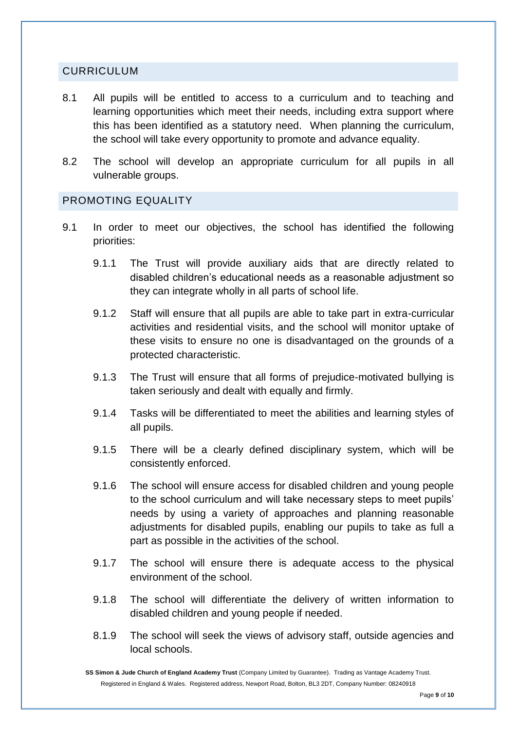#### CURRICULUM

- 8.1 All pupils will be entitled to access to a curriculum and to teaching and learning opportunities which meet their needs, including extra support where this has been identified as a statutory need. When planning the curriculum, the school will take every opportunity to promote and advance equality.
- 8.2 The school will develop an appropriate curriculum for all pupils in all vulnerable groups.

#### PROMOTING EQUALITY

- 9.1 In order to meet our objectives, the school has identified the following priorities:
	- 9.1.1 The Trust will provide auxiliary aids that are directly related to disabled children's educational needs as a reasonable adjustment so they can integrate wholly in all parts of school life.
	- 9.1.2 Staff will ensure that all pupils are able to take part in extra-curricular activities and residential visits, and the school will monitor uptake of these visits to ensure no one is disadvantaged on the grounds of a protected characteristic.
	- 9.1.3 The Trust will ensure that all forms of prejudice-motivated bullying is taken seriously and dealt with equally and firmly.
	- 9.1.4 Tasks will be differentiated to meet the abilities and learning styles of all pupils.
	- 9.1.5 There will be a clearly defined disciplinary system, which will be consistently enforced.
	- 9.1.6 The school will ensure access for disabled children and young people to the school curriculum and will take necessary steps to meet pupils' needs by using a variety of approaches and planning reasonable adjustments for disabled pupils, enabling our pupils to take as full a part as possible in the activities of the school.
	- 9.1.7 The school will ensure there is adequate access to the physical environment of the school.
	- 9.1.8 The school will differentiate the delivery of written information to disabled children and young people if needed.
	- 8.1.9 The school will seek the views of advisory staff, outside agencies and local schools.